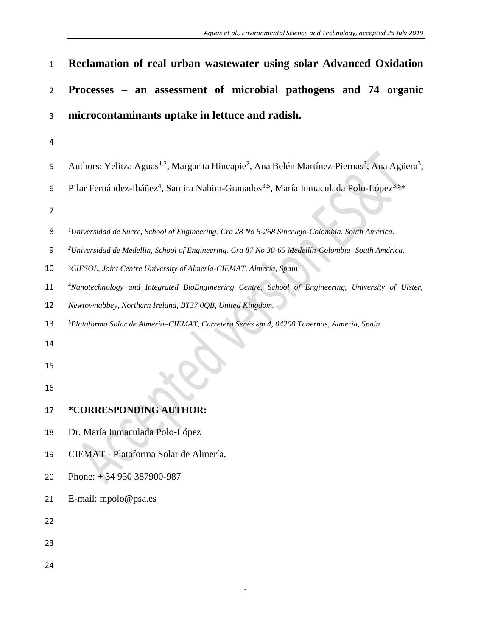| $\mathbf{1}$   | Reclamation of real urban wastewater using solar Advanced Oxidation                                                                           |
|----------------|-----------------------------------------------------------------------------------------------------------------------------------------------|
| $\overline{2}$ | Processes – an assessment of microbial pathogens and 74 organic                                                                               |
| 3              | microcontaminants uptake in lettuce and radish.                                                                                               |
| 4              |                                                                                                                                               |
| 5              | Authors: Yelitza Aguas <sup>1,2</sup> , Margarita Hincapie <sup>2</sup> , Ana Belén Martínez-Piernas <sup>3</sup> , Ana Agüera <sup>3</sup> , |
| 6<br>7         | Pilar Fernández-Ibáñez <sup>4</sup> , Samira Nahim-Granados <sup>3,5</sup> , María Inmaculada Polo-López <sup>3,5*</sup>                      |
| 8              | <sup>1</sup> Universidad de Sucre, School of Engineering. Cra 28 No 5-268 Sincelejo-Colombia. South América.                                  |
| 9              | <sup>2</sup> Universidad de Medellin, School of Engineering. Cra 87 No 30-65 Medellín-Colombia- South América.                                |
| 10             | <sup>3</sup> CIESOL, Joint Centre University of Almería-CIEMAT, Almería, Spain                                                                |
| 11             | <sup>4</sup> Nanotechnology and Integrated BioEngineering Centre, School of Engineering, University of Ulster,                                |
| 12             | Newtownabbey, Northern Ireland, BT37 0QB, United Kingdom.                                                                                     |
| 13             | <sup>5</sup> Plataforma Solar de Almería-CIEMAT, Carretera Senés km 4, 04200 Tabernas, Almería, Spain                                         |
| 14             |                                                                                                                                               |
| 15             |                                                                                                                                               |
| 16             |                                                                                                                                               |
| 17             | *CORRESPONDING AUTHOR:                                                                                                                        |
| 18             | Dr. María Inmaculada Polo-López                                                                                                               |
| 19             | CIEMAT - Plataforma Solar de Almería,                                                                                                         |
| 20             | Phone: $+34950387900-987$                                                                                                                     |
| 21             | E-mail: mpolo@psa.es                                                                                                                          |
| 22             |                                                                                                                                               |
| 23             |                                                                                                                                               |
| 24             |                                                                                                                                               |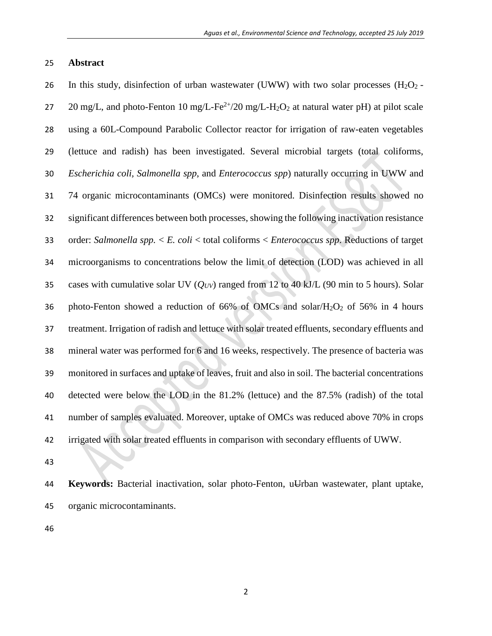## **Abstract**

26 In this study, disinfection of urban wastewater (UWW) with two solar processes  $(H_2O_2 - H_1)$ 27 20 mg/L, and photo-Fenton 10 mg/L-Fe<sup>2+</sup>/20 mg/L-H<sub>2</sub>O<sub>2</sub> at natural water pH) at pilot scale using a 60L-Compound Parabolic Collector reactor for irrigation of raw-eaten vegetables (lettuce and radish) has been investigated. Several microbial targets (total coliforms, *Escherichia coli, Salmonella spp*, and *Enterococcus spp*) naturally occurring in UWW and 74 organic microcontaminants (OMCs) were monitored. Disinfection results showed no significant differences between both processes, showing the following inactivation resistance order: *Salmonella spp.* < *E. coli* < total coliforms < *Enterococcus spp*. Reductions of target microorganisms to concentrations below the limit of detection (LOD) was achieved in all cases with cumulative solar UV (*QUV*) ranged from 12 to 40 kJ/L (90 min to 5 hours). Solar 36 photo-Fenton showed a reduction of  $66\%$  of OMCs and solar/ $H_2O_2$  of 56% in 4 hours treatment. Irrigation of radish and lettuce with solar treated effluents, secondary effluents and mineral water was performed for 6 and 16 weeks, respectively. The presence of bacteria was monitored in surfaces and uptake of leaves, fruit and also in soil. The bacterial concentrations detected were below the LOD in the 81.2% (lettuce) and the 87.5% (radish) of the total number of samples evaluated. Moreover, uptake of OMCs was reduced above 70% in crops irrigated with solar treated effluents in comparison with secondary effluents of UWW.

 **Keywords:** Bacterial inactivation, solar photo-Fenton, uUrban wastewater, plant uptake, organic microcontaminants.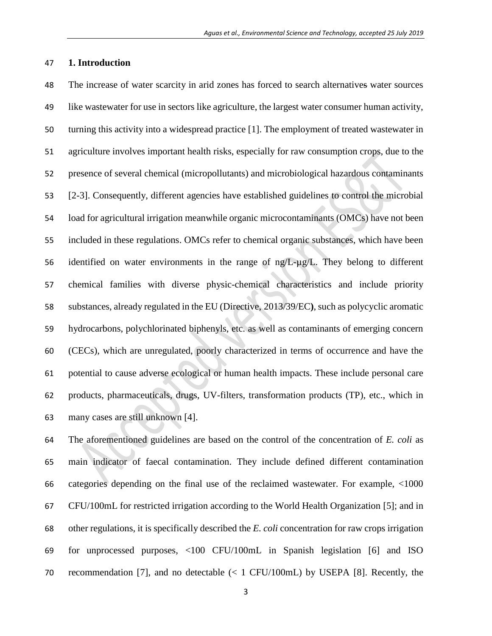### **1. Introduction**

 The increase of water scarcity in arid zones has forced to search alternatives water sources like wastewater for use in sectors like agriculture, the largest water consumer human activity, turning this activity into a widespread practice [1]. The employment of treated wastewater in agriculture involves important health risks, especially for raw consumption crops, due to the presence of several chemical (micropollutants) and microbiological hazardous contaminants [2-3]. Consequently, different agencies have established guidelines to control the microbial load for agricultural irrigation meanwhile organic microcontaminants (OMCs) have not been included in these regulations. OMCs refer to chemical organic substances, which have been identified on water environments in the range of ng/L-µg/L. They belong to different chemical families with diverse physic-chemical characteristics and include priority substances, already regulated in the EU (Directive, [2013/39/EC](http://eur-lex.europa.eu/LexUriServ/LexUriServ.do?uri=OJ:L:2013:226:0001:0017:EN:PDF)**)**, such as polycyclic aromatic hydrocarbons, polychlorinated biphenyls, etc. as well as contaminants of emerging concern (CECs), which are unregulated, poorly characterized in terms of occurrence and have the potential to cause adverse ecological or human health impacts. These include personal care products, pharmaceuticals, drugs, UV-filters, transformation products (TP), etc., which in many cases are still unknown [4].

 The aforementioned guidelines are based on the control of the concentration of *E. coli* as main indicator of faecal contamination. They include defined different contamination categories depending on the final use of the reclaimed wastewater. For example, <1000 CFU/100mL for restricted irrigation according to the World Health Organization [5]; and in other regulations, it is specifically described the *E. coli* concentration for raw crops irrigation for unprocessed purposes, <100 CFU/100mL in Spanish legislation [6] and ISO recommendation [7], and no detectable (< 1 CFU/100mL) by USEPA [8]. Recently, the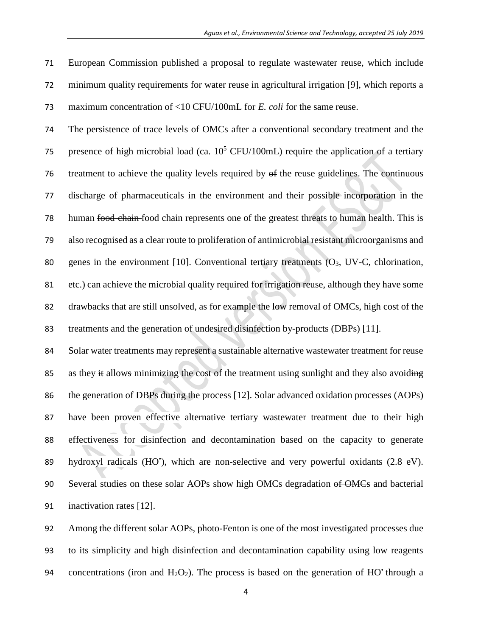European Commission published a proposal to regulate wastewater reuse, which include minimum quality requirements for water reuse in agricultural irrigation [9], which reports a maximum concentration of <10 CFU/100mL for *E. coli* for the same reuse.

 The persistence of trace levels of OMCs after a conventional secondary treatment and the 75 presence of high microbial load (ca.  $10^5$  CFU/100mL) require the application of a tertiary treatment to achieve the quality levels required by of the reuse guidelines. The continuous discharge of pharmaceuticals in the environment and their possible incorporation in the human food-chain food chain represents one of the greatest threats to human health. This is also recognised as a clear route to proliferation of antimicrobial resistant microorganisms and 80 genes in the environment [10]. Conventional tertiary treatments  $(O_3, UV-C,$  chlorination, etc.) can achieve the microbial quality required for irrigation reuse, although they have some drawbacks that are still unsolved, as for example the low removal of OMCs, high cost of the treatments and the generation of undesired disinfection by-products (DBPs) [11].

 Solar water treatments may represent a sustainable alternative wastewater treatment for reuse 85 as they it allows minimizing the cost of the treatment using sunlight and they also avoiding the generation of DBPs during the process [12]. Solar advanced oxidation processes (AOPs) have been proven effective alternative tertiary wastewater treatment due to their high effectiveness for disinfection and decontamination based on the capacity to generate 89 hydroxyl radicals (HO'), which are non-selective and very powerful oxidants (2.8 eV). 90 Several studies on these solar AOPs show high OMCs degradation of OMCs and bacterial inactivation rates [12].

 Among the different solar AOPs, photo-Fenton is one of the most investigated processes due to its simplicity and high disinfection and decontamination capability using low reagents 94 concentrations (iron and  $H_2O_2$ ). The process is based on the generation of HO<sup>•</sup> through a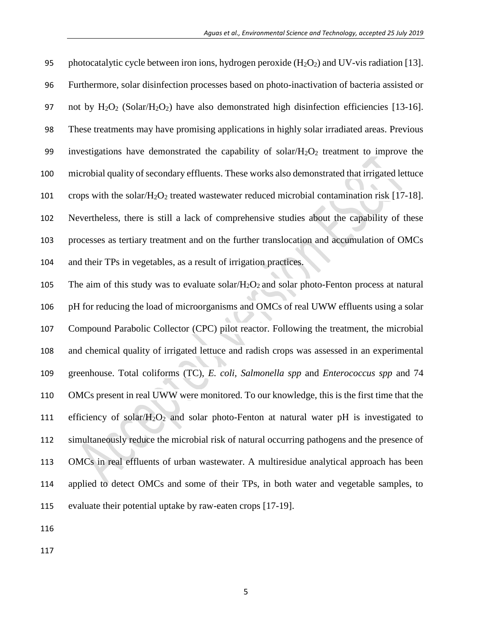| 95  | photocatalytic cycle between iron ions, hydrogen peroxide $(H_2O_2)$ and UV-vis radiation [13].                       |
|-----|-----------------------------------------------------------------------------------------------------------------------|
| 96  | Furthermore, solar disinfection processes based on photo-inactivation of bacteria assisted or                         |
| 97  | not by $H_2O_2$ (Solar/H <sub>2</sub> O <sub>2</sub> ) have also demonstrated high disinfection efficiencies [13-16]. |
| 98  | These treatments may have promising applications in highly solar irradiated areas. Previous                           |
| 99  | investigations have demonstrated the capability of solar/ $H_2O_2$ treatment to improve the                           |
| 100 | microbial quality of secondary effluents. These works also demonstrated that irrigated lettuce                        |
| 101 | crops with the solar/ $H_2O_2$ treated wastewater reduced microbial contamination risk [17-18].                       |
| 102 | Nevertheless, there is still a lack of comprehensive studies about the capability of these                            |
| 103 | processes as tertiary treatment and on the further translocation and accumulation of OMCs                             |
| 104 | and their TPs in vegetables, as a result of irrigation practices.                                                     |
| 105 | The aim of this study was to evaluate solar/ $H_2O_2$ and solar photo-Fenton process at natural                       |
| 106 | pH for reducing the load of microorganisms and OMCs of real UWW effluents using a solar                               |
| 107 | Compound Parabolic Collector (CPC) pilot reactor. Following the treatment, the microbial                              |
| 108 | and chemical quality of irrigated lettuce and radish crops was assessed in an experimental                            |
| 109 | greenhouse. Total coliforms (TC), E. coli, Salmonella spp and Enterococcus spp and 74                                 |
| 110 | OMCs present in real UWW were monitored. To our knowledge, this is the first time that the                            |
| 111 | efficiency of solar/ $H_2O_2$ and solar photo-Fenton at natural water pH is investigated to                           |
| 112 | simultaneously reduce the microbial risk of natural occurring pathogens and the presence of                           |
| 113 | OMCs in real effluents of urban wastewater. A multiresidue analytical approach has been                               |

 applied to detect OMCs and some of their TPs, in both water and vegetable samples, to evaluate their potential uptake by raw-eaten crops [17-19].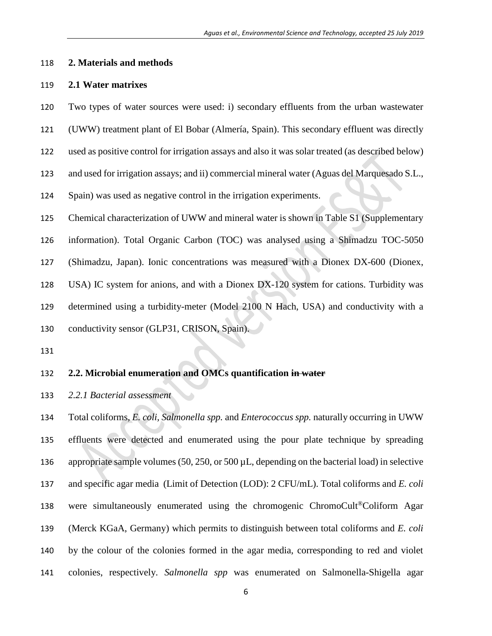### **2. Materials and methods**

### **2.1 Water matrixes**

Two types of water sources were used: i) secondary effluents from the urban wastewater

- (UWW) treatment plant of El Bobar (Almería, Spain). This secondary effluent was directly
- used as positive control for irrigation assays and also it was solar treated (as described below)
- and used for irrigation assays; and ii) commercial mineral water (Aguas del Marquesado S.L.,
- Spain) was used as negative control in the irrigation experiments.
- Chemical characterization of UWW and mineral water is shown in Table S1 (Supplementary
- information). Total Organic Carbon (TOC) was analysed using a Shimadzu TOC-5050
- (Shimadzu, Japan). Ionic concentrations was measured with a Dionex DX-600 (Dionex,
- USA) IC system for anions, and with a Dionex DX-120 system for cations. Turbidity was
- determined using a turbidity-meter (Model 2100 N Hach, USA) and conductivity with a
- conductivity sensor (GLP31, CRISON, Spain).
- 

# **2.2. Microbial enumeration and OMCs quantification in water**

*2.2.1 Bacterial assessment*

 Total coliforms*, E. coli, Salmonella spp.* and *Enterococcus spp.* naturally occurring in UWW effluents were detected and enumerated using the pour plate technique by spreading appropriate sample volumes (50, 250, or 500 µL, depending on the bacterial load) in selective and specific agar media (Limit of Detection (LOD): 2 CFU/mL). Total coliforms and *E. coli* 138 were simultaneously enumerated using the chromogenic ChromoCult<sup>®</sup> Coliform Agar (Merck KGaA, Germany) which permits to distinguish between total coliforms and *E. coli* by the colour of the colonies formed in the agar media, corresponding to red and violet colonies, respectively. *Salmonella spp* was enumerated on Salmonella-Shigella agar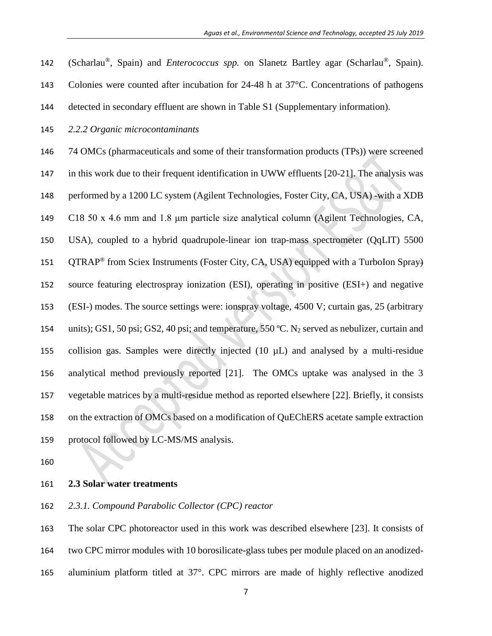- 142 (Scharlau<sup>®</sup>, Spain) and *Enterococcus spp.* on Slanetz Bartley agar (Scharlau<sup>®</sup>, Spain). Colonies were counted after incubation for 24-48 h at 37°C. Concentrations of pathogens
- detected in secondary effluent are shown in Table S1 (Supplementary information).
- *2.2.2 Organic microcontaminants*
- 74 OMCs (pharmaceuticals and some of their transformation products (TPs)) were screened in this work due to their frequent identification in UWW effluents [20-21]. The analysis was performed by a 1200 LC system (Agilent Technologies, Foster City, CA, USA) -with a XDB C18 50 x 4.6 mm and 1.8 μm particle size analytical column (Agilent Technologies, CA, USA), coupled to a hybrid quadrupole-linear ion trap-mass spectrometer (QqLIT) 5500 151 QTRAP<sup>®</sup> from Sciex Instruments (Foster City, CA, USA) equipped with a TurboIon Spray) source featuring electrospray ionization (ESI), operating in positive (ESI+) and negative (ESI-) modes. The source settings were: ionspray voltage, 4500 V; curtain gas, 25 (arbitrary 154 units); GS1, 50 psi; GS2, 40 psi; and temperature, 550 °C. N<sub>2</sub> served as nebulizer, curtain and collision gas. Samples were directly injected (10 µL) and analysed by a multi-residue analytical method previously reported [21]. The OMCs uptake was analysed in the 3 vegetable matrices by a multi-residue method as reported elsewhere [22]. Briefly, it consists on the extraction of OMCs based on a modification of QuEChERS acetate sample extraction protocol followed by LC-MS/MS analysis.
- 
- **2.3 Solar water treatments**
- *2.3.1. Compound Parabolic Collector (CPC) reactor*

 The solar CPC photoreactor used in this work was described elsewhere [23]. It consists of two CPC mirror modules with 10 borosilicate-glass tubes per module placed on an anodized-aluminium platform titled at 37°. CPC mirrors are made of highly reflective anodized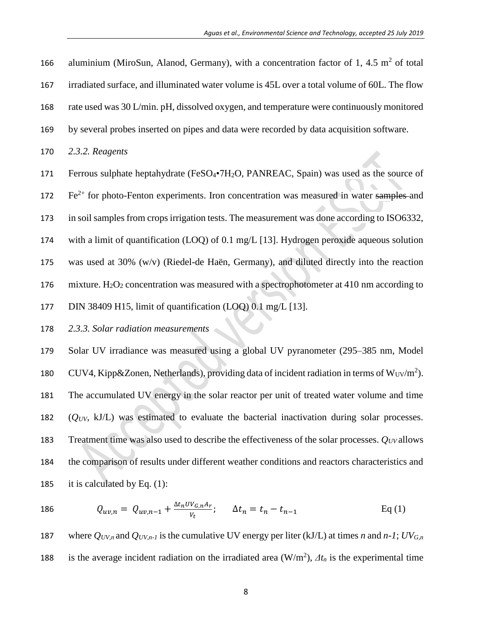irradiated surface, and illuminated water volume is 45L over a total volume of 60L. The flow rate used was 30 L/min. pH, dissolved oxygen, and temperature were continuously monitored by several probes inserted on pipes and data were recorded by data acquisition software. *2.3.2. Reagents* 171 Ferrous sulphate heptahydrate (FeSO<sub>4</sub>•7H<sub>2</sub>O, PANREAC, Spain) was used as the source of  $Fe<sup>2+</sup>$  for photo-Fenton experiments. Iron concentration was measured in water samples and in soil samples from crops irrigation tests. The measurement was done according to ISO6332, with a limit of quantification (LOQ) of 0.1 mg/L [13]. Hydrogen peroxide aqueous solution was used at 30% (w/v) (Riedel-de Haën, Germany), and diluted directly into the reaction 176 mixture.  $H_2O_2$  concentration was measured with a spectrophotometer at 410 nm according to

166 aluminium (MiroSun, Alanod, Germany), with a concentration factor of 1, 4.5  $m^2$  of total

- 177 DIN 38409 H15, limit of quantification (LOQ) 0.1 mg/L [13].
- 178 *2.3.3. Solar radiation measurements*

 Solar UV irradiance was measured using a global UV pyranometer (295–385 nm, Model 180 CUV4, Kipp&Zonen, Netherlands), providing data of incident radiation in terms of  $W_{UV}/m^2$ ). The accumulated UV energy in the solar reactor per unit of treated water volume and time (*QUV*, kJ/L) was estimated to evaluate the bacterial inactivation during solar processes. Treatment time was also used to describe the effectiveness of the solar processes. *QUV* allows the comparison of results under different weather conditions and reactors characteristics and 185 it is calculated by Eq.  $(1)$ :

186 
$$
Q_{uv,n} = Q_{uv,n-1} + \frac{\Delta t_n U V_{G,n} A_r}{V_t}; \Delta t_n = t_n - t_{n-1}
$$
 Eq (1)

187 where  $Q_{UV,n}$  and  $Q_{UV,n-1}$  is the cumulative UV energy per liter (kJ/L) at times *n* and *n-1*;  $UV_{G,n}$ 188 is the average incident radiation on the irradiated area  $(W/m^2)$ ,  $\Delta t_n$  is the experimental time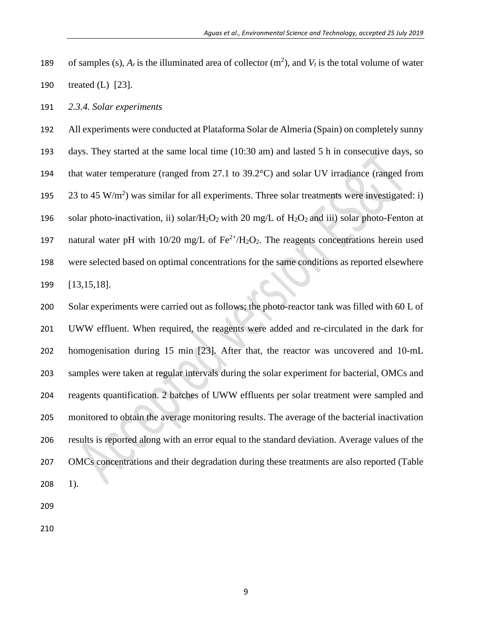- 189 of samples (s),  $A_r$  is the illuminated area of collector  $(m^2)$ , and  $V_t$  is the total volume of water treated (L) [23].
- *2.3.4. Solar experiments*

 All experiments were conducted at Plataforma Solar de Almeria (Spain) on completely sunny days. They started at the same local time (10:30 am) and lasted 5 h in consecutive days, so that water temperature (ranged from 27.1 to 39.2°C) and solar UV irradiance (ranged from  $\,$  23 to 45 W/m<sup>2</sup>) was similar for all experiments. Three solar treatments were investigated: i) 196 solar photo-inactivation, ii) solar/H<sub>2</sub>O<sub>2</sub> with 20 mg/L of H<sub>2</sub>O<sub>2</sub> and iii) solar photo-Fenton at natural water pH with  $10/20$  mg/L of Fe<sup>2+</sup>/H<sub>2</sub>O<sub>2</sub>. The reagents concentrations herein used were selected based on optimal concentrations for the same conditions as reported elsewhere [13,15,18].

 Solar experiments were carried out as follows; the photo-reactor tank was filled with 60 L of UWW effluent. When required, the reagents were added and re-circulated in the dark for homogenisation during 15 min [23]. After that, the reactor was uncovered and 10-mL samples were taken at regular intervals during the solar experiment for bacterial, OMCs and reagents quantification. 2 batches of UWW effluents per solar treatment were sampled and monitored to obtain the average monitoring results. The average of the bacterial inactivation results is reported along with an error equal to the standard deviation. Average values of the OMCs concentrations and their degradation during these treatments are also reported (Table 1).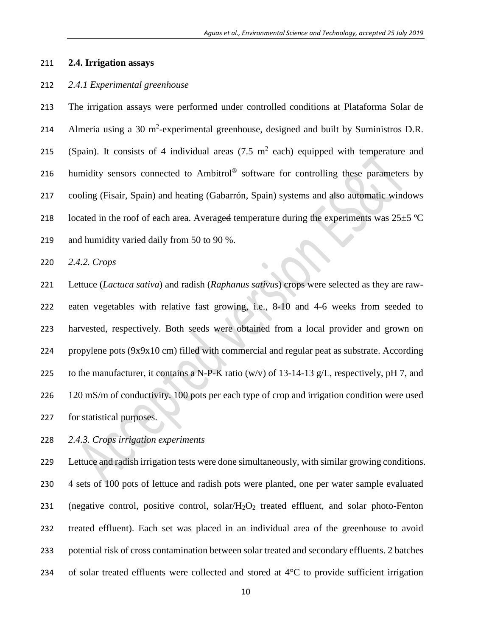## **2.4. Irrigation assays**

### *2.4.1 Experimental greenhouse*

 The irrigation assays were performed under controlled conditions at Plataforma Solar de 214 Almeria using a  $30 \text{ m}^2$ -experimental greenhouse, designed and built by Suministros D.R. 215 (Spain). It consists of 4 individual areas  $(7.5 \text{ m}^2 \text{ each})$  equipped with temperature and 216 humidity sensors connected to Ambitrol® software for controlling these parameters by cooling (Fisair, Spain) and heating (Gabarrón, Spain) systems and also automatic windows 218 located in the roof of each area. Averaged temperature during the experiments was  $25\pm5$  °C and humidity varied daily from 50 to 90 %.

*2.4.2. Crops* 

 Lettuce (*Lactuca sativa*) and radish (*Raphanus sativus*) crops were selected as they are raw- eaten vegetables with relative fast growing, i.e., 8-10 and 4-6 weeks from seeded to harvested, respectively. Both seeds were obtained from a local provider and grown on propylene pots (9x9x10 cm) filled with commercial and regular peat as substrate. According 225 to the manufacturer, it contains a N-P-K ratio (w/v) of 13-14-13  $g/L$ , respectively, pH 7, and 226 120 mS/m of conductivity. 100 pots per each type of crop and irrigation condition were used for statistical purposes.

*2.4.3. Crops irrigation experiments* 

 Lettuce and radish irrigation tests were done simultaneously, with similar growing conditions. 4 sets of 100 pots of lettuce and radish pots were planted, one per water sample evaluated (negative control, positive control, solar/H2O<sup>2</sup> treated effluent, and solar photo-Fenton treated effluent). Each set was placed in an individual area of the greenhouse to avoid potential risk of cross contamination between solar treated and secondary effluents. 2 batches of solar treated effluents were collected and stored at 4°C to provide sufficient irrigation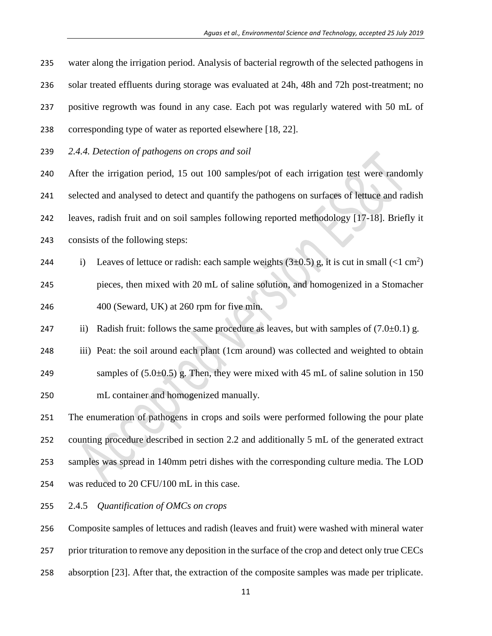water along the irrigation period. Analysis of bacterial regrowth of the selected pathogens in solar treated effluents during storage was evaluated at 24h, 48h and 72h post-treatment; no positive regrowth was found in any case. Each pot was regularly watered with 50 mL of corresponding type of water as reported elsewhere [18, 22].

*2.4.4. Detection of pathogens on crops and soil*

 After the irrigation period, 15 out 100 samples/pot of each irrigation test were randomly selected and analysed to detect and quantify the pathogens on surfaces of lettuce and radish leaves, radish fruit and on soil samples following reported methodology [17-18]. Briefly it consists of the following steps:

- 244 i) Leaves of lettuce or radish: each sample weights  $(3\pm 0.5)$  g, it is cut in small  $(<1 \text{ cm}^2)$  pieces, then mixed with 20 mL of saline solution, and homogenized in a Stomacher 400 (Seward, UK) at 260 rpm for five min.
- 247 ii) Radish fruit: follows the same procedure as leaves, but with samples of  $(7.0\pm0.1)$  g.
- 248 iii) Peat: the soil around each plant (1cm around) was collected and weighted to obtain 249 samples of  $(5.0\pm 0.5)$  g. Then, they were mixed with 45 mL of saline solution in 150 mL container and homogenized manually.

 The enumeration of pathogens in crops and soils were performed following the pour plate counting procedure described in section 2.2 and additionally 5 mL of the generated extract samples was spread in 140mm petri dishes with the corresponding culture media. The LOD was reduced to 20 CFU/100 mL in this case.

2.4.5 *Quantification of OMCs on crops* 

Composite samples of lettuces and radish (leaves and fruit) were washed with mineral water

- 257 prior trituration to remove any deposition in the surface of the crop and detect only true CECs
- absorption [23]. After that, the extraction of the composite samples was made per triplicate.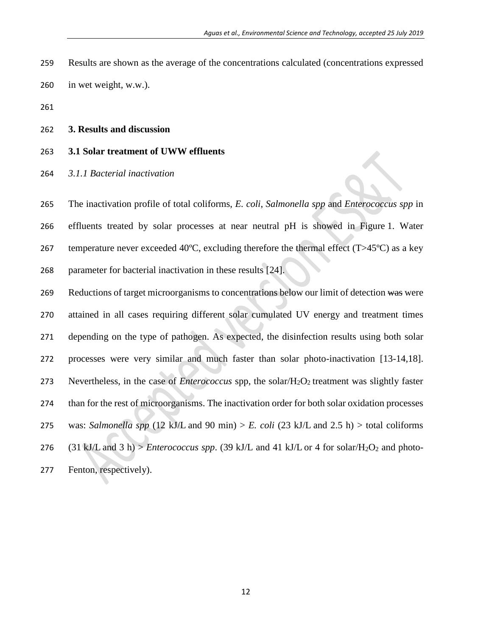- Results are shown as the average of the concentrations calculated (concentrations expressed
- in wet weight, w.w.).
- 

### **3. Results and discussion**

# **3.1 Solar treatment of UWW effluents**

*3.1.1 Bacterial inactivation* 

 The inactivation profile of total coliforms, *E. coli*, *Salmonella spp* and *Enterococcus spp* in effluents treated by solar processes at near neutral pH is showed in Figure 1. Water 267 temperature never exceeded 40 $\degree$ C, excluding therefore the thermal effect (T $>45\degree$ C) as a key parameter for bacterial inactivation in these results [24].

269 Reductions of target microorganisms to concentrations below our limit of detection was were attained in all cases requiring different solar cumulated UV energy and treatment times depending on the type of pathogen. As expected, the disinfection results using both solar processes were very similar and much faster than solar photo-inactivation [13-14,18]. Nevertheless, in the case of *Enterococcus* spp, the solar/H2O2 treatment was slightly faster than for the rest of microorganisms. The inactivation order for both solar oxidation processes 275 was: *Salmonella spp* (12 kJ/L and 90 min) > *E. coli* (23 kJ/L and 2.5 h) > total coliforms 276 (31 kJ/L and 3 h) > *Enterococcus spp.* (39 kJ/L and 41 kJ/L or 4 for solar/H<sub>2</sub>O<sub>2</sub> and photo-Fenton, respectively).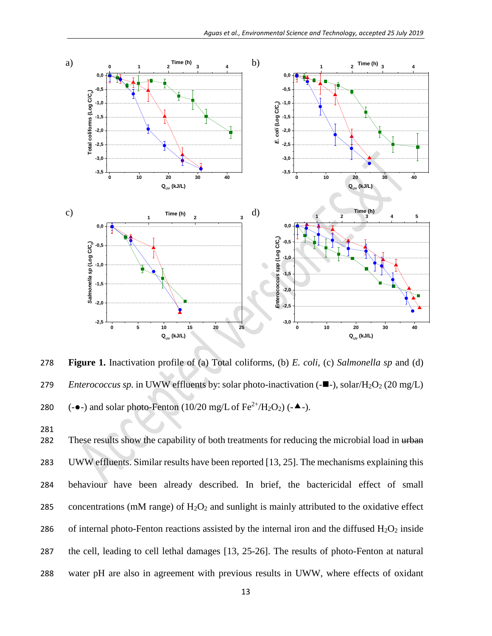

278 **Figure 1.** Inactivation profile of (a) Total coliforms, (b) *E. coli,* (c) *Salmonella sp* and (d) 279 *Enterococcus sp.* in UWW effluents by: solar photo-inactivation (-■-), solar/H<sub>2</sub>O<sub>2</sub> (20 mg/L) 280 (- $\bullet$ -) and solar photo-Fenton (10/20 mg/L of Fe<sup>2+</sup>/H<sub>2</sub>O<sub>2</sub>) (- $\bullet$ -).

281

282 These results show the capability of both treatments for reducing the microbial load in urban 283 UWW effluents. Similar results have been reported [13, 25]. The mechanisms explaining this 284 behaviour have been already described. In brief, the bactericidal effect of small 285 concentrations (mM range) of  $H_2O_2$  and sunlight is mainly attributed to the oxidative effect 286 of internal photo-Fenton reactions assisted by the internal iron and the diffused  $H_2O_2$  inside 287 the cell, leading to cell lethal damages [13, 25-26]. The results of photo-Fenton at natural 288 water pH are also in agreement with previous results in UWW, where effects of oxidant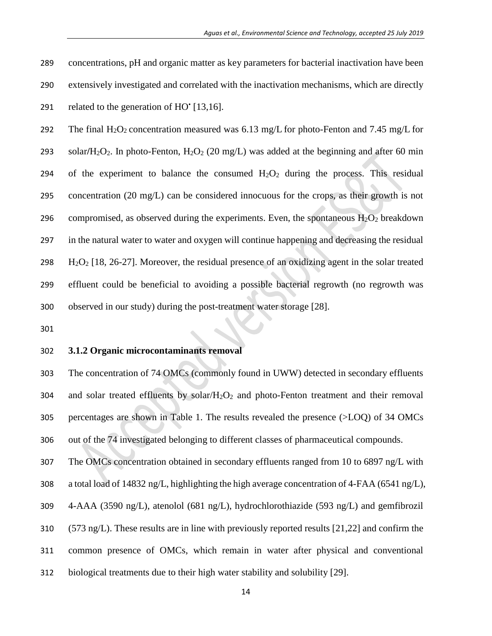291 related to the generation of  $HO^{\dagger}[13,16]$ .

292 The final H<sub>2</sub>O<sub>2</sub> concentration measured was 6.13 mg/L for photo-Fenton and 7.45 mg/L for 293 solar/ $H_2O_2$ . In photo-Fenton,  $H_2O_2$  (20 mg/L) was added at the beginning and after 60 min 294 of the experiment to balance the consumed  $H_2O_2$  during the process. This residual concentration (20 mg/L) can be considered innocuous for the crops, as their growth is not 296 compromised, as observed during the experiments. Even, the spontaneous  $H_2O_2$  breakdown in the natural water to water and oxygen will continue happening and decreasing the residual  $H_2O_2$  [18, 26-27]. Moreover, the residual presence of an oxidizing agent in the solar treated effluent could be beneficial to avoiding a possible bacterial regrowth (no regrowth was observed in our study) during the post-treatment water storage [28].

# **3.1.2 Organic microcontaminants removal**

 The concentration of 74 OMCs (commonly found in UWW) detected in secondary effluents and solar treated effluents by solar/ $H_2O_2$  and photo-Fenton treatment and their removal percentages are shown in Table 1. The results revealed the presence (>LOQ) of 34 OMCs out of the 74 investigated belonging to different classes of pharmaceutical compounds.

The OMCs concentration obtained in secondary effluents ranged from 10 to 6897 ng/L with

a total load of 14832 ng/L, highlighting the high average concentration of 4-FAA (6541 ng/L),

4-AAA (3590 ng/L), atenolol (681 ng/L), hydrochlorothiazide (593 ng/L) and gemfibrozil

(573 ng/L). These results are in line with previously reported results [21,22] and confirm the

common presence of OMCs, which remain in water after physical and conventional

biological treatments due to their high water stability and solubility [29].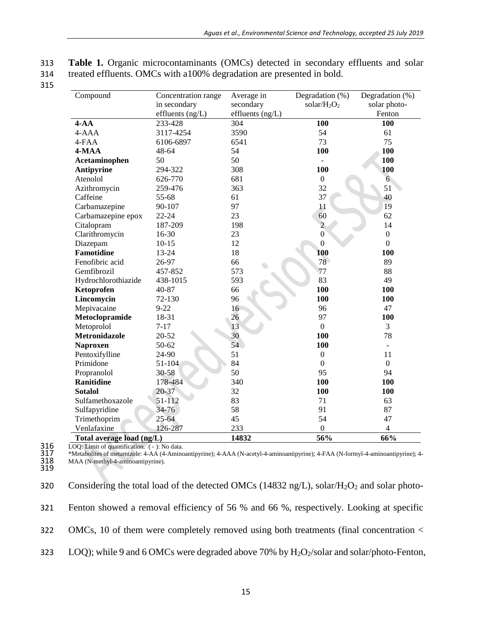| 313 | <b>Table 1.</b> Organic microcontaminants (OMCs) detected in secondary effluents and solar |
|-----|--------------------------------------------------------------------------------------------|
| 314 | treated effluents. OMCs with a 100% degradation are presented in bold.                     |

315

| Compound                  | Concentration range | Average in       | Degradation (%)  | Degradation (%) |
|---------------------------|---------------------|------------------|------------------|-----------------|
|                           | in secondary        | secondary        | solar/ $H_2O_2$  | solar photo-    |
|                           | effluents $(ng/L)$  | effluents (ng/L) |                  | Fenton          |
| $4-AA$                    | 233-428             | 304              | 100              | 100             |
| 4-AAA                     | 3117-4254           | 3590             | 54               | 61              |
| 4-FAA                     | 6106-6897           | 6541             | 73               | 75              |
| 4-MAA                     | 48-64               | 54               | 100              | 100             |
| Acetaminophen             | 50                  | 50               |                  | 100             |
| Antipyrine                | 294-322             | 308              | 100              | 100             |
| Atenolol                  | 626-770             | 681              | $\boldsymbol{0}$ | $6\overline{6}$ |
| Azithromycin              | 259-476             | 363              | 32               | 51              |
| Caffeine                  | 55-68               | 61               | 37               | 40              |
| Carbamazepine             | 90-107              | 97               | 11               | 19              |
| Carbamazepine epox        | $22 - 24$           | 23               | 60               | 62              |
| Citalopram                | 187-209             | 198              | $\overline{2}$   | 14              |
| Clarithromycin            | 16-30               | 23               | $\boldsymbol{0}$ | $\overline{0}$  |
| Diazepam                  | $10 - 15$           | 12               | $\boldsymbol{0}$ | $\overline{0}$  |
| <b>Famotidine</b>         | 13-24               | 18               | 100              | 100             |
| Fenofibric acid           | 26-97               | 66               | 78               | 89              |
| Gemfibrozil               | 457-852             | 573              | 77               | 88              |
| Hydrochlorothiazide       | 438-1015            | 593              | 83               | 49              |
| Ketoprofen                | 40-87               | 66               | 100              | 100             |
| Lincomycin                | 72-130              | 96               | 100              | 100             |
| Mepivacaine               | $9 - 22$            | 16               | 96               | 47              |
| Metoclopramide            | 18-31               | 26               | 97               | 100             |
| Metoprolol                | $7 - 17$            | 13               | $\mathbf{0}$     | 3               |
| Metronidazole             | 20-52               | 30               | 100              | 78              |
| <b>Naproxen</b>           | 50-62               | 54               | 100              | $\blacksquare$  |
| Pentoxifylline            | 24-90               | 51               | $\mathbf{0}$     | 11              |
| Primidone                 | 51-104              | 84               | $\mathbf{0}$     | $\overline{0}$  |
| Propranolol               | 30-58               | 50               | 95               | 94              |
| <b>Ranitidine</b>         | 178-484             | 340              | 100              | 100             |
| <b>Sotalol</b>            | $20 - 37$           | 32               | 100              | 100             |
| Sulfamethoxazole          | 51-112              | 83               | 71               | 63              |
| Sulfapyridine             | 34-76               | 58               | 91               | 87              |
| Trimethoprim              | $25 - 64$           | 45               | 54               | 47              |
| Venlafaxine               | 126-287             | 233              | $\overline{0}$   | 4               |
| Total average load (ng/L) |                     | 14832            | 56%              | 66%             |

316 LOQ: Limit of quantification. ( - ): No data. 317 \*Metabolites of metamizole: 4-AA (4-Aminoantipyrine); 4-AAA (N-acetyl-4-aminoantipyrine); 4-FAA (N-formyl-4-aminoantipyrine); 4- 318 MAA (N-methyl-4-aminoantipyrine).

316<br>317<br>318<br>319

| 320 | Considering the total load of the detected OMCs (14832 ng/L), solar/H <sub>2</sub> O <sub>2</sub> and solar photo- |
|-----|--------------------------------------------------------------------------------------------------------------------|
| 321 | Fenton showed a removal efficiency of 56 % and 66 %, respectively. Looking at specific                             |
| 322 | OMCs, 10 of them were completely removed using both treatments (final concentration $\lt$                          |
| 323 | LOQ); while 9 and 6 OMCs were degraded above 70% by $H_2O_2$ /solar and solar/photo-Fenton,                        |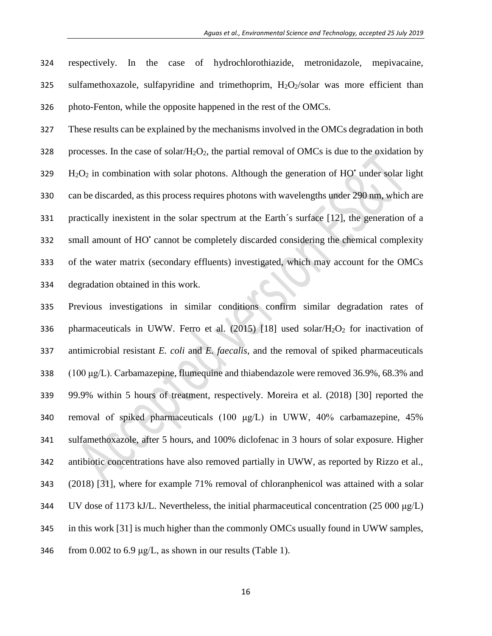respectively. In the case of hydrochlorothiazide, metronidazole, mepivacaine, 325 sulfamethoxazole, sulfapyridine and trimethoprim,  $H_2O_2$ /solar was more efficient than photo-Fenton, while the opposite happened in the rest of the OMCs.

 These results can be explained by the mechanisms involved in the OMCs degradation in both 328 processes. In the case of solar/ $H_2O_2$ , the partial removal of OMCs is due to the oxidation by  $H_2O_2$  in combination with solar photons. Although the generation of HO<sup>•</sup> under solar light can be discarded, as this process requires photons with wavelengths under 290 nm, which are practically inexistent in the solar spectrum at the Earth´s surface [12], the generation of a 332 small amount of HO' cannot be completely discarded considering the chemical complexity of the water matrix (secondary effluents) investigated, which may account for the OMCs degradation obtained in this work.

 Previous investigations in similar conditions confirm similar degradation rates of 336 pharmaceuticals in UWW. Ferro et al. (2015) [18] used solar/ $H_2O_2$  for inactivation of antimicrobial resistant *E. coli* and *E. faecalis*, and the removal of spiked pharmaceuticals (100 μg/L). Carbamazepine, flumequine and thiabendazole were removed 36.9%, 68.3% and 99.9% within 5 hours of treatment, respectively. Moreira et al. (2018) [30] reported the removal of spiked pharmaceuticals (100 μg/L) in UWW, 40% carbamazepine, 45% sulfamethoxazole, after 5 hours, and 100% diclofenac in 3 hours of solar exposure. Higher antibiotic concentrations have also removed partially in UWW, as reported by Rizzo et al., (2018) [31], where for example 71% removal of chloranphenicol was attained with a solar 344 UV dose of 1173 kJ/L. Nevertheless, the initial pharmaceutical concentration (25 000  $\mu$ g/L) in this work [31] is much higher than the commonly OMCs usually found in UWW samples, 346 from 0.002 to 6.9  $\mu$ g/L, as shown in our results (Table 1).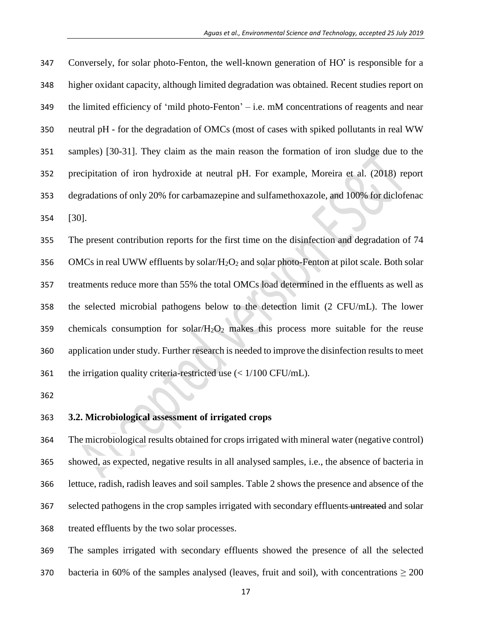347 Conversely, for solar photo-Fenton, the well-known generation of HO' is responsible for a higher oxidant capacity, although limited degradation was obtained. Recent studies report on the limited efficiency of 'mild photo-Fenton' – i.e. mM concentrations of reagents and near neutral pH - for the degradation of OMCs (most of cases with spiked pollutants in real WW samples) [30-31]. They claim as the main reason the formation of iron sludge due to the precipitation of iron hydroxide at neutral pH. For example, Moreira et al. (2018) report degradations of only 20% for carbamazepine and sulfamethoxazole, and 100% for diclofenac [30].

 The present contribution reports for the first time on the disinfection and degradation of 74 356 OMCs in real UWW effluents by solar/ $H_2O_2$  and solar photo-Fenton at pilot scale. Both solar treatments reduce more than 55% the total OMCs load determined in the effluents as well as the selected microbial pathogens below to the detection limit (2 CFU/mL). The lower 359 chemicals consumption for solar/ $H_2O_2$  makes this process more suitable for the reuse 360 application under study. Further research is needed to improve the disinfection results to meet 361 the irrigation quality criteria-restricted use  $\left($  < 1/100 CFU/mL).

# **3.2. Microbiological assessment of irrigated crops**

 The microbiological results obtained for crops irrigated with mineral water (negative control) showed, as expected, negative results in all analysed samples, i.e., the absence of bacteria in lettuce, radish, radish leaves and soil samples. Table 2 shows the presence and absence of the 367 selected pathogens in the crop samples irrigated with secondary effluents untreated and solar treated effluents by the two solar processes.

 The samples irrigated with secondary effluents showed the presence of all the selected 370 bacteria in 60% of the samples analysed (leaves, fruit and soil), with concentrations  $\geq$  200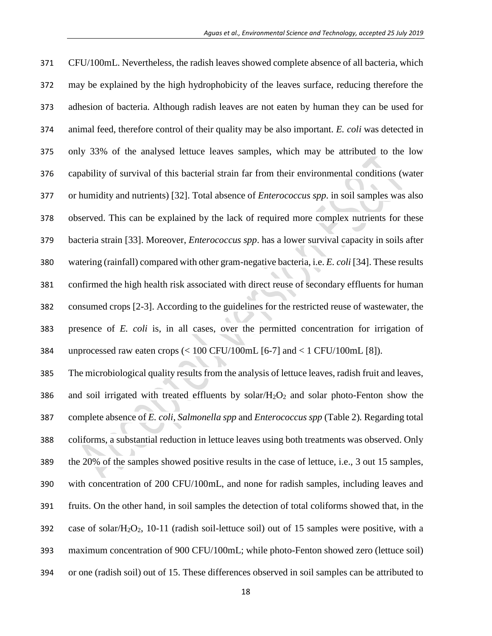CFU/100mL. Nevertheless, the radish leaves showed complete absence of all bacteria, which may be explained by the high hydrophobicity of the leaves surface, reducing therefore the adhesion of bacteria. Although radish leaves are not eaten by human they can be used for animal feed, therefore control of their quality may be also important. *E. coli* was detected in only 33% of the analysed lettuce leaves samples, which may be attributed to the low capability of survival of this bacterial strain far from their environmental conditions (water or humidity and nutrients) [32]. Total absence of *Enterococcus spp*. in soil samples was also observed. This can be explained by the lack of required more complex nutrients for these bacteria strain [33]. Moreover, *Enterococcus spp*. has a lower survival capacity in soils after watering (rainfall) compared with other gram-negative bacteria, i.e. *E. coli* [34]. These results confirmed the high health risk associated with direct reuse of secondary effluents for human consumed crops [2-3]. According to the guidelines for the restricted reuse of wastewater, the presence of *E. coli* is, in all cases, over the permitted concentration for irrigation of unprocessed raw eaten crops (< 100 CFU/100mL [6-7] and < 1 CFU/100mL [8]).

 The microbiological quality results from the analysis of lettuce leaves, radish fruit and leaves, 386 and soil irrigated with treated effluents by solar/ $H_2O_2$  and solar photo-Fenton show the complete absence of *E. coli*, *Salmonella spp* and *Enterococcus spp* (Table 2)*.* Regarding total coliforms, a substantial reduction in lettuce leaves using both treatments was observed. Only the 20% of the samples showed positive results in the case of lettuce, i.e., 3 out 15 samples, with concentration of 200 CFU/100mL, and none for radish samples, including leaves and fruits. On the other hand, in soil samples the detection of total coliforms showed that, in the 392 case of solar/ $H_2O_2$ , 10-11 (radish soil-lettuce soil) out of 15 samples were positive, with a maximum concentration of 900 CFU/100mL; while photo-Fenton showed zero (lettuce soil) or one (radish soil) out of 15. These differences observed in soil samples can be attributed to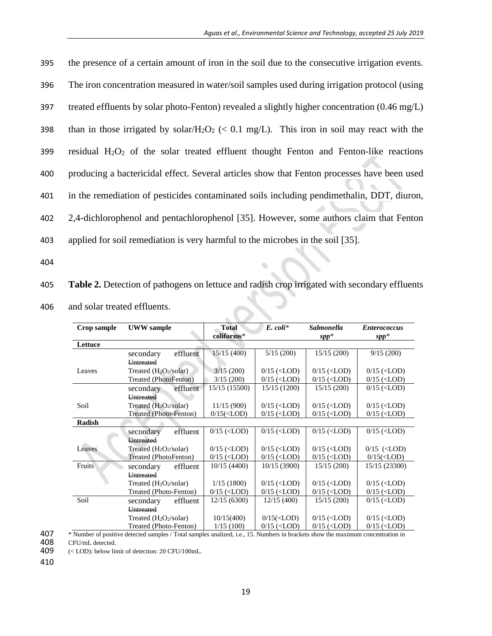| 395 | the presence of a certain amount of iron in the soil due to the consecutive irrigation events.                    |
|-----|-------------------------------------------------------------------------------------------------------------------|
| 396 | The iron concentration measured in water/soil samples used during irrigation protocol (using                      |
| 397 | treated effluents by solar photo-Fenton) revealed a slightly higher concentration $(0.46 \text{ mg/L})$           |
| 398 | than in those irrigated by solar/H <sub>2</sub> O <sub>2</sub> (< 0.1 mg/L). This iron in soil may react with the |
| 399 | residual $H_2O_2$ of the solar treated effluent thought Fenton and Fenton-like reactions                          |
| 400 | producing a bactericidal effect. Several articles show that Fenton processes have been used                       |
| 401 | in the remediation of pesticides contaminated soils including pendimethalin, DDT, diuron,                         |
| 402 | 2,4-dichlorophenol and pentachlorophenol [35]. However, some authors claim that Fenton                            |
| 403 | applied for soil remediation is very harmful to the microbes in the soil [35].                                    |

404

405 **Table 2.** Detection of pathogens on lettuce and radish crop irrigated with secondary effluents 406 and solar treated effluents.

 $\bullet$ 

| Crop sample   | <b>UWW</b> sample        | <b>Total</b><br>coliforms*                                                                                                                                                        | $E.$ coli*                                                                                                                       | <b>Salmonella</b><br>$spp*$                                                     | <b>Enterococcus</b><br>$spp*$  |
|---------------|--------------------------|-----------------------------------------------------------------------------------------------------------------------------------------------------------------------------------|----------------------------------------------------------------------------------------------------------------------------------|---------------------------------------------------------------------------------|--------------------------------|
| Lettuce       |                          |                                                                                                                                                                                   |                                                                                                                                  |                                                                                 |                                |
|               | effluent<br>secondary    | 15/15(400)                                                                                                                                                                        | 5/15(200)                                                                                                                        | 15/15(200)                                                                      | 9/15(200)                      |
|               | <b>Untreated</b>         |                                                                                                                                                                                   |                                                                                                                                  |                                                                                 |                                |
| Leaves        | Treated $(H_2O_2/solar)$ | 3/15(200)                                                                                                                                                                         | $0/15$ ( <lod)< td=""><td><math>0/15</math> (<lod)< td=""><td><math>0/15</math> (<lod)< td=""></lod)<></td></lod)<></td></lod)<> | $0/15$ ( <lod)< td=""><td><math>0/15</math> (<lod)< td=""></lod)<></td></lod)<> | $0/15$ ( <lod)< td=""></lod)<> |
|               | Treated (PhotoFenton)    | 3/15(200)                                                                                                                                                                         | $0/15$ ( <lod)< td=""><td><math>0/15</math> (<lod)< td=""><td><math>0/15</math> (<lod)< td=""></lod)<></td></lod)<></td></lod)<> | $0/15$ ( <lod)< td=""><td><math>0/15</math> (<lod)< td=""></lod)<></td></lod)<> | $0/15$ ( <lod)< td=""></lod)<> |
|               | effluent<br>secondary    | 15/15 (15500)                                                                                                                                                                     | 15/15 (1200)                                                                                                                     | 15/15(200)                                                                      | $0/15$ ( <lod)< td=""></lod)<> |
|               | <b>Untreated</b>         |                                                                                                                                                                                   |                                                                                                                                  |                                                                                 |                                |
| Soil          | Treated $(H_2O_2/solar)$ | 11/15(900)                                                                                                                                                                        | $0/15$ ( <lod)< td=""><td><math>0/15</math> (<lod)< td=""><td><math>0/15</math> (<lod)< td=""></lod)<></td></lod)<></td></lod)<> | $0/15$ ( <lod)< td=""><td><math>0/15</math> (<lod)< td=""></lod)<></td></lod)<> | $0/15$ ( <lod)< td=""></lod)<> |
|               | Treated (Photo-Fenton)   | $0/15(<$ LOD)                                                                                                                                                                     | $0/15$ ( <lod)< td=""><td><math>0/15</math> (<lod)< td=""><td><math>0/15</math> (<lod)< td=""></lod)<></td></lod)<></td></lod)<> | $0/15$ ( <lod)< td=""><td><math>0/15</math> (<lod)< td=""></lod)<></td></lod)<> | $0/15$ ( <lod)< td=""></lod)<> |
| <b>Radish</b> |                          |                                                                                                                                                                                   |                                                                                                                                  |                                                                                 |                                |
|               | effluent<br>secondary    | $0/15$ ( <lod)< td=""><td><math>0/15</math> (<lod)< td=""><td><math>0/15</math> (<lod)< td=""><td><math>0/15</math> (<lod)< td=""></lod)<></td></lod)<></td></lod)<></td></lod)<> | $0/15$ ( <lod)< td=""><td><math>0/15</math> (<lod)< td=""><td><math>0/15</math> (<lod)< td=""></lod)<></td></lod)<></td></lod)<> | $0/15$ ( <lod)< td=""><td><math>0/15</math> (<lod)< td=""></lod)<></td></lod)<> | $0/15$ ( <lod)< td=""></lod)<> |
|               | <b>Untreated</b>         |                                                                                                                                                                                   |                                                                                                                                  |                                                                                 |                                |
| Leaves        | Treated $(H_2O_2/solar)$ | $0/15$ ( <lod)< td=""><td><math>0/15</math> (<lod)< td=""><td><math>0/15</math> (<lod)< td=""><td><math>0/15</math> (<lod)< td=""></lod)<></td></lod)<></td></lod)<></td></lod)<> | $0/15$ ( <lod)< td=""><td><math>0/15</math> (<lod)< td=""><td><math>0/15</math> (<lod)< td=""></lod)<></td></lod)<></td></lod)<> | $0/15$ ( <lod)< td=""><td><math>0/15</math> (<lod)< td=""></lod)<></td></lod)<> | $0/15$ ( <lod)< td=""></lod)<> |
|               | Treated (PhotoFenton)    | $0/15$ ( <lod)< td=""><td><math>0/15</math> (<lod)< td=""><td><math>0/15</math> (<lod)< td=""><td><math>0/15(&lt;</math>LOD)</td></lod)<></td></lod)<></td></lod)<>               | $0/15$ ( <lod)< td=""><td><math>0/15</math> (<lod)< td=""><td><math>0/15(&lt;</math>LOD)</td></lod)<></td></lod)<>               | $0/15$ ( <lod)< td=""><td><math>0/15(&lt;</math>LOD)</td></lod)<>               | $0/15(<$ LOD)                  |
| Fruits        | effluent<br>secondary    | 10/15(4400)                                                                                                                                                                       | 10/15(3900)                                                                                                                      | 15/15(200)                                                                      | 15/15 (23300)                  |
|               | <b>Untreated</b>         |                                                                                                                                                                                   |                                                                                                                                  |                                                                                 |                                |
|               | Treated $(H_2O_2/solar)$ | 1/15(1800)                                                                                                                                                                        | $0/15$ ( <lod)< td=""><td><math>0/15</math> (<lod)< td=""><td><math>0/15</math> (<lod)< td=""></lod)<></td></lod)<></td></lod)<> | $0/15$ ( <lod)< td=""><td><math>0/15</math> (<lod)< td=""></lod)<></td></lod)<> | $0/15$ ( <lod)< td=""></lod)<> |
|               | Treated (Photo-Fenton)   | $0/15$ ( <lod)< td=""><td><math>0/15</math> (<lod)< td=""><td><math>0/15</math> (<lod)< td=""><td><math>0/15</math> (<lod)< td=""></lod)<></td></lod)<></td></lod)<></td></lod)<> | $0/15$ ( <lod)< td=""><td><math>0/15</math> (<lod)< td=""><td><math>0/15</math> (<lod)< td=""></lod)<></td></lod)<></td></lod)<> | $0/15$ ( <lod)< td=""><td><math>0/15</math> (<lod)< td=""></lod)<></td></lod)<> | $0/15$ ( <lod)< td=""></lod)<> |
| Soil          | effluent<br>secondary    | 12/15(6300)                                                                                                                                                                       | 12/15(400)                                                                                                                       | 15/15(200)                                                                      | $0/15$ ( <lod)< td=""></lod)<> |
|               | <b>Untreated</b>         |                                                                                                                                                                                   |                                                                                                                                  |                                                                                 |                                |
|               | Treated $(H_2O_2/solar)$ | 10/15(400)                                                                                                                                                                        | $0/15(<$ LOD)                                                                                                                    | $0/15$ ( <lod)< td=""><td><math>0/15</math> (<lod)< td=""></lod)<></td></lod)<> | $0/15$ ( <lod)< td=""></lod)<> |
|               | Treated (Photo-Fenton)   | 1/15(100)                                                                                                                                                                         | $0/15$ ( <lod)< td=""><td><math>0/15</math> (<lod)< td=""><td><math>0/15</math> (<lod)< td=""></lod)<></td></lod)<></td></lod)<> | $0/15$ ( <lod)< td=""><td><math>0/15</math> (<lod)< td=""></lod)<></td></lod)<> | $0/15$ ( <lod)< td=""></lod)<> |

408  $CFU/mL$  detected.<br>409  $(< LOD$ : below lin

(< LOD): below limit of detection: 20 CFU/100mL.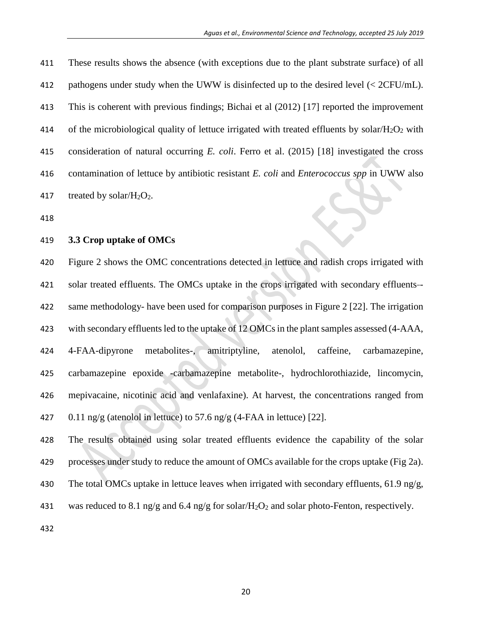These results shows the absence (with exceptions due to the plant substrate surface) of all pathogens under study when the UWW is disinfected up to the desired level (< 2CFU/mL). This is coherent with previous findings; Bichai et al (2012) [17] reported the improvement 414 of the microbiological quality of lettuce irrigated with treated effluents by solar/ $H_2O_2$  with consideration of natural occurring *E. coli*. Ferro et al. (2015) [18] investigated the cross contamination of lettuce by antibiotic resistant *E. coli* and *Enterococcus spp* in UWW also 417 treated by solar/ $H_2O_2$ .

## **3.3 Crop uptake of OMCs**

 Figure 2 shows the OMC concentrations detected in lettuce and radish crops irrigated with 421 solar treated effluents. The OMCs uptake in the crops irrigated with secondary effluents-- same methodology- have been used for comparison purposes in Figure 2 [22]. The irrigation 423 with secondary effluents led to the uptake of 12 OMCs in the plant samples assessed (4-AAA, 4-FAA-dipyrone metabolites-, amitriptyline, atenolol, caffeine, carbamazepine, carbamazepine epoxide -carbamazepine metabolite-, hydrochlorothiazide, lincomycin, mepivacaine, nicotinic acid and venlafaxine). At harvest, the concentrations ranged from 427 0.11 ng/g (atenolol in lettuce) to 57.6 ng/g (4-FAA in lettuce) [22].

 The results obtained using solar treated effluents evidence the capability of the solar processes under study to reduce the amount of OMCs available for the crops uptake (Fig 2a). The total OMCs uptake in lettuce leaves when irrigated with secondary effluents, 61.9 ng/g, 431 was reduced to 8.1 ng/g and 6.4 ng/g for solar/H<sub>2</sub>O<sub>2</sub> and solar photo-Fenton, respectively.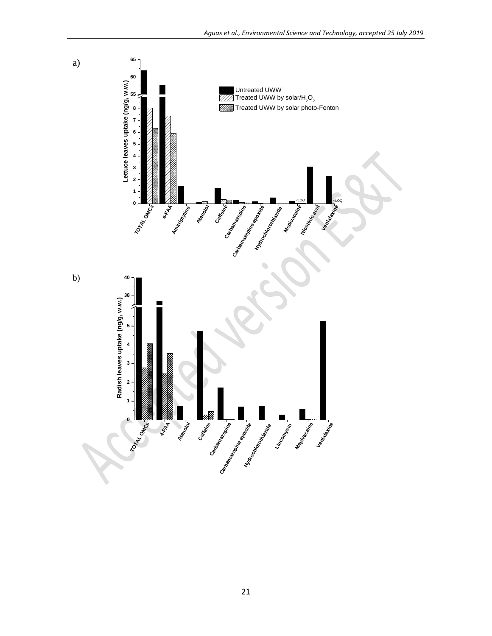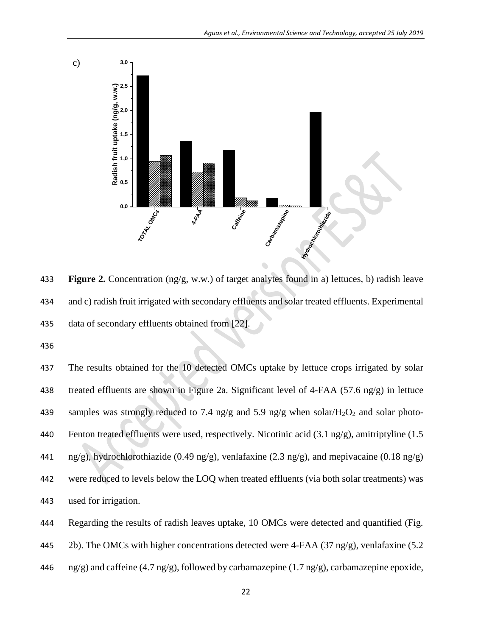

433 **Figure 2.** Concentration (ng/g, w.w.) of target analytes found in a) lettuces, b) radish leave 434 and c) radish fruit irrigated with secondary effluents and solar treated effluents. Experimental 435 data of secondary effluents obtained from [22].

436

437 The results obtained for the 10 detected OMCs uptake by lettuce crops irrigated by solar 438 treated effluents are shown in Figure 2a. Significant level of 4-FAA (57.6 ng/g) in lettuce 439 samples was strongly reduced to 7.4 ng/g and 5.9 ng/g when solar/ $H_2O_2$  and solar photo-440 Fenton treated effluents were used, respectively. Nicotinic acid (3.1 ng/g), amitriptyline (1.5 441 ng/g), hydrochlorothiazide (0.49 ng/g), venlafaxine (2.3 ng/g), and mepivacaine (0.18 ng/g) 442 were reduced to levels below the LOQ when treated effluents (via both solar treatments) was 443 used for irrigation.



445 2b). The OMCs with higher concentrations detected were 4-FAA (37 ng/g), venlafaxine (5.2

446  $\text{ng/g}$ ) and caffeine (4.7 ng/g), followed by carbamazepine (1.7 ng/g), carbamazepine epoxide,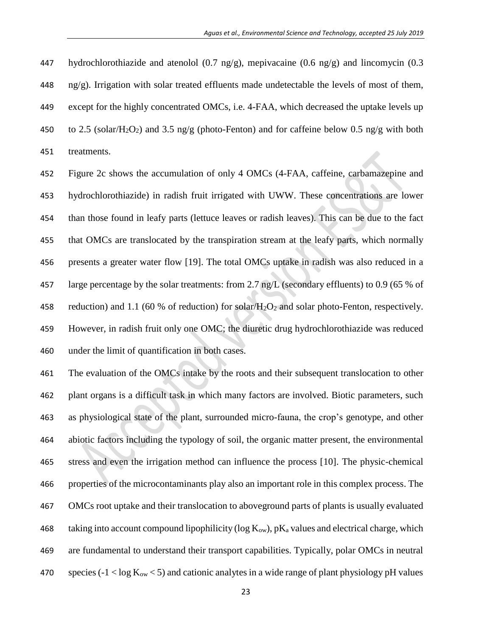447 hydrochlorothiazide and atenolol  $(0.7 \text{ ng/g})$ , mepivacaine  $(0.6 \text{ ng/g})$  and lincomycin  $(0.3 \text{ g/g})$  ng/g). Irrigation with solar treated effluents made undetectable the levels of most of them, except for the highly concentrated OMCs, i.e. 4-FAA, which decreased the uptake levels up 450 to 2.5 (solar/H<sub>2</sub>O<sub>2</sub>) and 3.5 ng/g (photo-Fenton) and for caffeine below 0.5 ng/g with both treatments.

 Figure 2c shows the accumulation of only 4 OMCs (4-FAA, caffeine, carbamazepine and hydrochlorothiazide) in radish fruit irrigated with UWW. These concentrations are lower than those found in leafy parts (lettuce leaves or radish leaves). This can be due to the fact that OMCs are translocated by the transpiration stream at the leafy parts, which normally presents a greater water flow [19]. The total OMCs uptake in radish was also reduced in a 457 large percentage by the solar treatments: from 2.7 ng/L (secondary effluents) to 0.9 (65 % of 458 reduction) and 1.1 (60 % of reduction) for solar/ $H_2O_2$  and solar photo-Fenton, respectively. However, in radish fruit only one OMC; the diuretic drug hydrochlorothiazide was reduced under the limit of quantification in both cases.

 The evaluation of the OMCs intake by the roots and their subsequent translocation to other plant organs is a difficult task in which many factors are involved. Biotic parameters, such as physiological state of the plant, surrounded micro-fauna, the crop's genotype, and other abiotic factors including the typology of soil, the organic matter present, the environmental stress and even the irrigation method can influence the process [10]. The physic-chemical properties of the microcontaminants play also an important role in this complex process. The OMCs root uptake and their translocation to aboveground parts of plants is usually evaluated 468 taking into account compound lipophilicity ( $log K<sub>ow</sub>$ ), pK<sub>a</sub> values and electrical charge, which are fundamental to understand their transport capabilities. Typically, polar OMCs in neutral 470 species ( $-1 < log K<sub>ow</sub> < 5$ ) and cationic analytes in a wide range of plant physiology pH values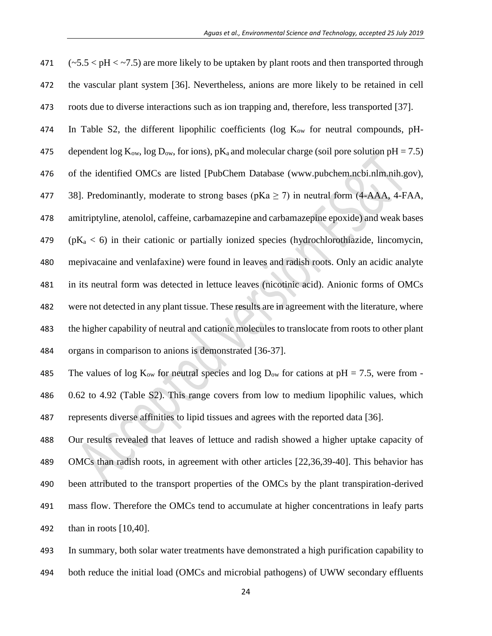471  $(-5.5 < pH < -7.5)$  are more likely to be uptaken by plant roots and then transported through the vascular plant system [36]. Nevertheless, anions are more likely to be retained in cell roots due to diverse interactions such as ion trapping and, therefore, less transported [37].

474 In Table S2, the different lipophilic coefficients (log  $K_{ow}$  for neutral compounds, pH-

475 dependent  $\log K_{ow}$ ,  $\log D_{ow}$ , for ions), pK<sub>a</sub> and molecular charge (soil pore solution pH = 7.5) of the identified OMCs are listed [PubChem Database (www.pubchem.ncbi.nlm.nih.gov), 477 38]. Predominantly, moderate to strong bases ( $pKa \ge 7$ ) in neutral form (4-AAA, 4-FAA,

amitriptyline, atenolol, caffeine, carbamazepine and carbamazepine epoxide) and weak bases

479 ( $pK_a < 6$ ) in their cationic or partially ionized species (hydrochlorothiazide, lincomycin, mepivacaine and venlafaxine) were found in leaves and radish roots. Only an acidic analyte in its neutral form was detected in lettuce leaves (nicotinic acid). Anionic forms of OMCs were not detected in any plant tissue. These results are in agreement with the literature, where the higher capability of neutral and cationic molecules to translocate from roots to other plant

organs in comparison to anions is demonstrated [36-37].

485 The values of log  $K_{ow}$  for neutral species and log  $D_{ow}$  for cations at pH = 7.5, were from - 0.62 to 4.92 (Table S2). This range covers from low to medium lipophilic values, which represents diverse affinities to lipid tissues and agrees with the reported data [36].

 Our results revealed that leaves of lettuce and radish showed a higher uptake capacity of OMCs than radish roots, in agreement with other articles [22,36,39-40]. This behavior has been attributed to the transport properties of the OMCs by the plant transpiration-derived mass flow. Therefore the OMCs tend to accumulate at higher concentrations in leafy parts than in roots [10,40].

 In summary, both solar water treatments have demonstrated a high purification capability to both reduce the initial load (OMCs and microbial pathogens) of UWW secondary effluents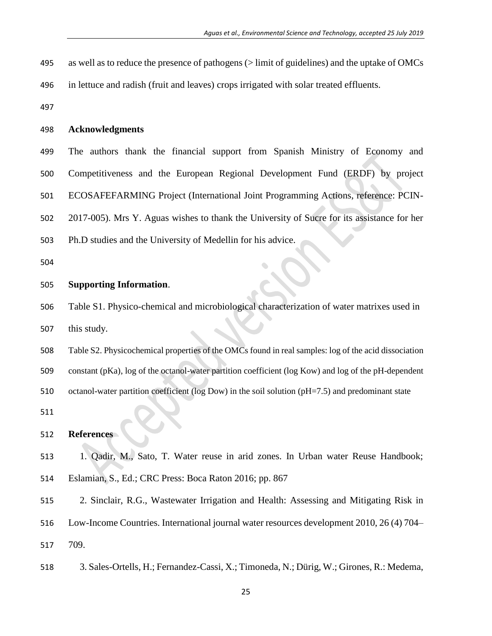- as well as to reduce the presence of pathogens (> limit of guidelines) and the uptake of OMCs
- in lettuce and radish (fruit and leaves) crops irrigated with solar treated effluents.
- 

### **Acknowledgments**

 The authors thank the financial support from Spanish Ministry of Economy and Competitiveness and the European Regional Development Fund (ERDF) by project ECOSAFEFARMING Project (International Joint Programming Actions, reference: PCIN- 2017-005). Mrs Y. Aguas wishes to thank the University of Sucre for its assistance for her Ph.D studies and the University of Medellin for his advice.

### **Supporting Information**.

 Table S1. Physico-chemical and microbiological characterization of water matrixes used in this study.

 Table S2. Physicochemical properties of the OMCs found in real samples: log of the acid dissociation constant (pKa), log of the octanol-water partition coefficient (log Kow) and log of the pH-dependent octanol-water partition coefficient (log Dow) in the soil solution (pH=7.5) and predominant state

#### **References**

- 1. Qadir, M., Sato, T. Water reuse in arid zones. In Urban water Reuse Handbook; Eslamian, S., Ed.; CRC Press: Boca Raton 2016; pp. 867
- 2. Sinclair, R.G., Wastewater Irrigation and Health: Assessing and Mitigating Risk in
- Low-Income Countries. International journal water resources development 2010, 26 (4) 704–
- 709.
- 3. Sales-Ortells, H.; Fernandez-Cassi, X.; Timoneda, N.; Dürig, W.; Girones, R.: Medema,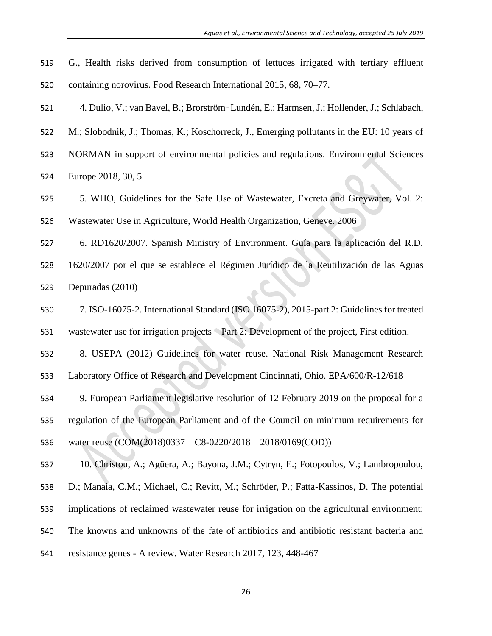G., Health risks derived from consumption of lettuces irrigated with tertiary effluent containing norovirus. Food Research International 2015, 68, 70–77.

4. Dulio, V.; van Bavel, B.; Brorström‑Lundén, E.; Harmsen, J.; Hollender, J.; Schlabach,

M.; Slobodnik, J.; Thomas, K.; Koschorreck, J., Emerging pollutants in the EU: 10 years of

NORMAN in support of environmental policies and regulations. Environmental Sciences

Europe 2018, 30, 5

 5. WHO, Guidelines for the Safe Use of Wastewater, Excreta and Greywater, Vol. 2: Wastewater Use in Agriculture, World Health Organization, Geneve. 2006

 6. RD1620/2007. Spanish Ministry of Environment. Guía para la aplicación del R.D. 1620/2007 por el que se establece el Régimen Jurídico de la Reutilización de las Aguas

Depuradas (2010)

 7. ISO-16075-2. International Standard (ISO 16075-2), 2015-part 2: Guidelines for treated wastewater use for irrigation projects—Part 2: Development of the project, First edition.

8. USEPA (2012) Guidelines for water reuse. National Risk Management Research

Laboratory Office of Research and Development Cincinnati, Ohio. EPA/600/R-12/618

9. European Parliament legislative resolution of 12 February 2019 on the proposal for a

 regulation of the European Parliament and of the Council on minimum requirements for water reuse (COM(2018)0337 – C8-0220/2018 – 2018/0169(COD))

10. Christou, A.; Agüera, A.; Bayona, J.M.; Cytryn, E.; Fotopoulos, V.; Lambropoulou,

D.; Manaia, C.M.; Michael, C.; Revitt, M.; Schröder, P.; Fatta-Kassinos, D. The potential

implications of reclaimed wastewater reuse for irrigation on the agricultural environment:

The knowns and unknowns of the fate of antibiotics and antibiotic resistant bacteria and

resistance genes - A review. Water Research 2017, 123, 448-467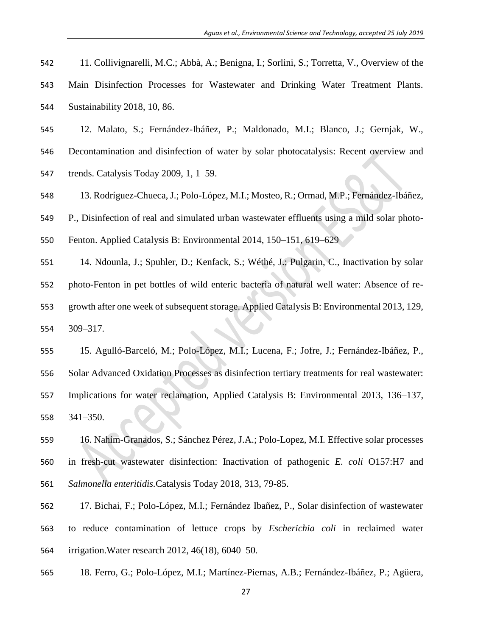- 11. Collivignarelli, M.C.; Abbà, A.; Benigna, I.; Sorlini, S.; Torretta, V., Overview of the
- Main Disinfection Processes for Wastewater and Drinking Water Treatment Plants.
- Sustainability 2018, 10, 86.
- 12. Malato, S.; Fernández-Ibáñez, P.; Maldonado, M.I.; Blanco, J.; Gernjak, W.,
- Decontamination and disinfection of water by solar photocatalysis: Recent overview and
- trends. Catalysis Today 2009, 1, 1–59.
- 13. Rodríguez-Chueca, J.; Polo-López, M.I.; Mosteo, R.; Ormad, M.P.; Fernández-Ibáñez,
- P., Disinfection of real and simulated urban wastewater effluents using a mild solar photo-
- Fenton. Applied Catalysis B: Environmental 2014, 150–151, 619–629
- 14. Ndounla, J.; Spuhler, D.; Kenfack, S.; Wéthé, J.; Pulgarin, C., Inactivation by solar photo-Fenton in pet bottles of wild enteric bacteria of natural well water: Absence of re- growth after one week of subsequent storage. Applied Catalysis B: Environmental 2013, 129, 309–317.
- 15. Agulló-Barceló, M.; Polo-López, M.I.; Lucena, F.; Jofre, J.; Fernández-Ibáñez, P., Solar Advanced Oxidation Processes as disinfection tertiary treatments for real wastewater: Implications for water reclamation, Applied Catalysis B: Environmental 2013, 136–137, 341–350.
- 16. Nahim-Granados, S.; Sánchez Pérez, J.A.; Polo-Lopez, M.I. Effective solar processes in fresh-cut wastewater disinfection: Inactivation of pathogenic *E. coli* O157:H7 and *Salmonella enteritidis.*Catalysis Today 2018, 313, 79-85.
- 17. Bichai, F.; Polo-López, M.I.; Fernández Ibañez, P., Solar disinfection of wastewater to reduce contamination of lettuce crops by *Escherichia coli* in reclaimed water irrigation.Water research 2012, 46(18), 6040–50.
- 18. Ferro, G.; Polo-López, M.I.; Martínez-Piernas, A.B.; Fernández-Ibáñez, P.; Agüera,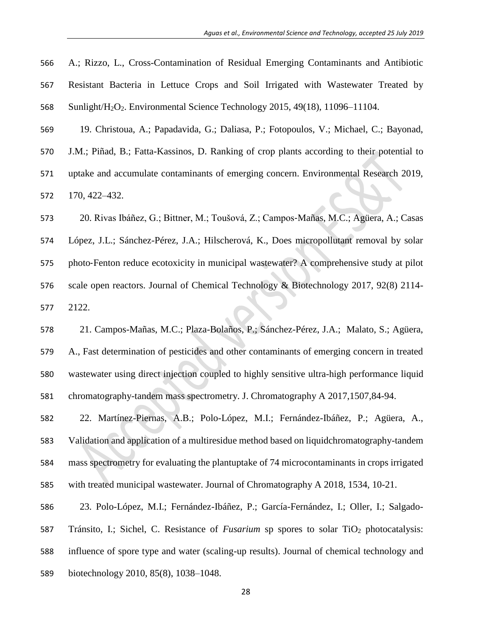- A.; Rizzo, L., Cross-Contamination of Residual Emerging Contaminants and Antibiotic Resistant Bacteria in Lettuce Crops and Soil Irrigated with Wastewater Treated by Sunlight/H2O2. Environmental Science Technology 2015, 49(18), 11096–11104.
- 19. Christoua, A.; Papadavida, G.; Daliasa, P.; Fotopoulos, V.; Michael, C.; Bayonad,
- J.M.; Piñad, B.; Fatta-Kassinos, D. Ranking of crop plants according to their potential to
- uptake and accumulate contaminants of emerging concern. Environmental Research 2019,

170, 422–432.

20. Rivas Ibáñez, G.; Bittner, M.; Toušová, Z.; Campos‐Mañas, M.C.; Agüera, A.; Casas

 López, J.L.; Sánchez-Pérez, J.A.; Hilscherová, K., Does micropollutant removal by solar 575 photo-Fenton reduce ecotoxicity in municipal wastewater? A comprehensive study at pilot scale open reactors. Journal of Chemical Technology & Biotechnology 2017, 92(8) 2114- 2122.

 21. Campos-Mañas, M.C.; Plaza-Bolaños, P.; Sánchez-Pérez, J.A.; Malato, S.; Agüera, A., Fast determination of pesticides and other contaminants of emerging concern in treated wastewater using direct injection coupled to highly sensitive ultra-high performance liquid chromatography-tandem mass spectrometry. J. Chromatography A 2017,1507,84-94.

 22. Martínez-Piernas, A.B.; Polo-López, M.I.; Fernández-Ibáñez, P.; Agüera, A., Validation and application of a multiresidue method based on liquidchromatography-tandem mass spectrometry for evaluating the plantuptake of 74 microcontaminants in crops irrigated with treated municipal wastewater. Journal of Chromatography A 2018, 1534, 10-21.

23. Polo-López, M.I.; Fernández-Ibáñez, P.; García-Fernández, I.; Oller, I.; Salgado-

587 Tránsito, I.; Sichel, C. Resistance of *Fusarium* sp spores to solar TiO<sub>2</sub> photocatalysis:

influence of spore type and water (scaling-up results). Journal of chemical technology and

biotechnology 2010, 85(8), 1038–1048.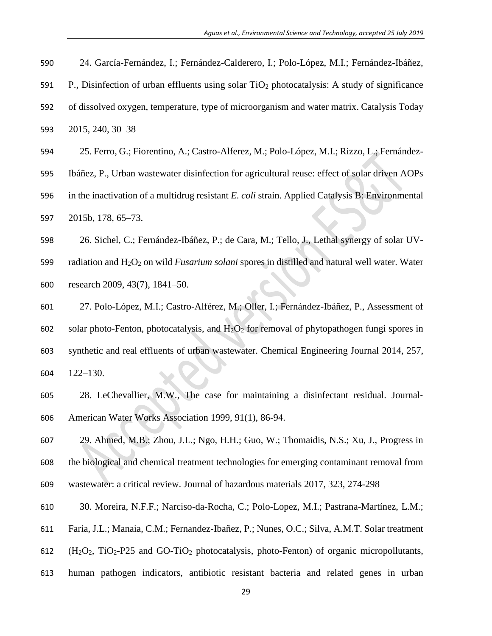- 24. García-Fernández, I.; Fernández-Calderero, I.; Polo-López, M.I.; Fernández-Ibáñez,
- P., Disinfection of urban effluents using solar TiO<sup>2</sup> photocatalysis: A study of significance
- of dissolved oxygen, temperature, type of microorganism and water matrix. Catalysis Today 2015*,* 240, 30–38
- 25. Ferro, G.; Fiorentino, A.; Castro-Alferez, M.; Polo-López, M.I.; Rizzo, L.; Fernández-
- Ibáñez, P., Urban wastewater disinfection for agricultural reuse: effect of solar driven AOPs
- in the inactivation of a multidrug resistant *E. coli* strain. Applied Catalysis B: Environmental 2015b, 178, 65–73.
- 26. Sichel, C.; Fernández-Ibáñez, P.; de Cara, M.; Tello, J., Lethal synergy of solar UV-
- radiation and H2O<sup>2</sup> on wild *Fusarium solani* spores in distilled and natural well water. Water research 2009, 43(7), 1841–50.
- 27. Polo-López, M.I.; Castro-Alférez, M.; Oller, I.; Fernández-Ibáñez, P., Assessment of 602 solar photo-Fenton, photocatalysis, and  $H_2O_2$  for removal of phytopathogen fungi spores in synthetic and real effluents of urban wastewater. Chemical Engineering Journal 2014, 257, 122–130.
- 28. LeChevallier, M.W., The case for maintaining a disinfectant residual. Journal‐ American Water Works Association 1999, 91(1), 86-94.
- 29. Ahmed, M.B.; Zhou, J.L.; Ngo, H.H.; Guo, W.; Thomaidis, N.S.; Xu, J., Progress in the biological and chemical treatment technologies for emerging contaminant removal from wastewater: a critical review. Journal of hazardous materials 2017, 323, 274-298
- 30. Moreira, N.F.F.; Narciso-da-Rocha, C.; Polo-Lopez, M.I.; Pastrana-Martínez, L.M.;
- Faria, J.L.; Manaia, C.M.; Fernandez-Ibañez, P.; Nunes, O.C.; Silva, A.M.T. Solar treatment
- 612  $(H_2O_2, TiO_2-P25 \text{ and GO-TiO}_2 \text{ photocatalysis}, \text{photo-Fenton})$  of organic micropollutants,
- human pathogen indicators, antibiotic resistant bacteria and related genes in urban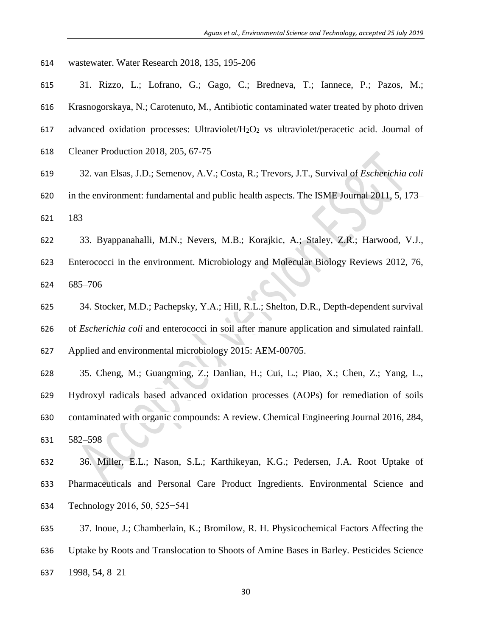- wastewater. Water Research 2018, 135, 195-206
- 31. Rizzo, L.; Lofrano, G.; Gago, C.; Bredneva, T.; Iannece, P.; Pazos, M.;
- Krasnogorskaya, N.; Carotenuto, M., Antibiotic contaminated water treated by photo driven
- advanced oxidation processes: Ultraviolet/H2O<sup>2</sup> vs ultraviolet/peracetic acid. Journal of
- Cleaner Production 2018, 205, 67-75
- 32. van Elsas, J.D.; Semenov, A.V.; Costa, R.; Trevors, J.T., Survival of *Escherichia coli*
- in the environment: fundamental and public health aspects. The ISME Journal 2011, 5, 173– 183
- 33. Byappanahalli, M.N.; Nevers, M.B.; Korajkic, A.; Staley, Z.R.; Harwood, V.J.,
- Enterococci in the environment. Microbiology and Molecular Biology Reviews 2012, 76, 685–706
- 34. Stocker, M.D.; Pachepsky, Y.A.; Hill, R.L.; Shelton, D.R., Depth-dependent survival of *Escherichia coli* and enterococci in soil after manure application and simulated rainfall. Applied and environmental microbiology 2015: AEM-00705.
- 35. Cheng, M.; Guangming, Z.; Danlian, H.; Cui, L.; Piao, X.; Chen, Z.; Yang, L., Hydroxyl radicals based advanced oxidation processes (AOPs) for remediation of soils contaminated with organic compounds: A review. Chemical Engineering Journal 2016, 284, 582–598
- 36. Miller, E.L.; Nason, S.L.; Karthikeyan, K.G.; Pedersen, J.A. Root Uptake of Pharmaceuticals and Personal Care Product Ingredients. Environmental Science and Technology 2016, 50, 525−541
- 37. Inoue, J.; Chamberlain, K.; Bromilow, R. H. Physicochemical Factors Affecting the Uptake by Roots and Translocation to Shoots of Amine Bases in Barley. Pesticides Science 1998, 54, 8–21